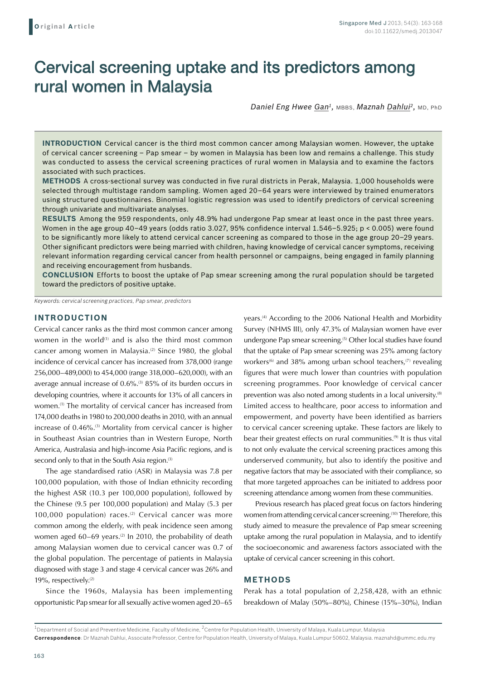# Cervical screening uptake and its predictors among rural women in Malaysia

*Daniel Eng Hwee Gan1,* MBBS, *Maznah Dahlui2,* MD, PhD

**Introduction** Cervical cancer is the third most common cancer among Malaysian women. However, the uptake of cervical cancer screening – Pap smear – by women in Malaysia has been low and remains a challenge. This study was conducted to assess the cervical screening practices of rural women in Malaysia and to examine the factors associated with such practices.

**Methods** A cross-sectional survey was conducted in five rural districts in Perak, Malaysia. 1,000 households were selected through multistage random sampling. Women aged 20–64 years were interviewed by trained enumerators using structured questionnaires. Binomial logistic regression was used to identify predictors of cervical screening through univariate and multivariate analyses.

**Results** Among the 959 respondents, only 48.9% had undergone Pap smear at least once in the past three years. Women in the age group 40–49 years (odds ratio 3.027, 95% confidence interval 1.546–5.925; p < 0.005) were found to be significantly more likely to attend cervical cancer screening as compared to those in the age group 20–29 years. Other significant predictors were being married with children, having knowledge of cervical cancer symptoms, receiving relevant information regarding cervical cancer from health personnel or campaigns, being engaged in family planning and receiving encouragement from husbands.

**Conclusion** Efforts to boost the uptake of Pap smear screening among the rural population should be targeted toward the predictors of positive uptake.

*Keywords: cervical screening practices, Pap smear, predictors*

## **INTRODUCTION**

Cervical cancer ranks as the third most common cancer among women in the world<sup>(1)</sup> and is also the third most common cancer among women in Malaysia.<sup>(2)</sup> Since 1980, the global incidence of cervical cancer has increased from 378,000 (range 256,000–489,000) to 454,000 (range 318,000–620,000), with an average annual increase of 0.6%.<sup>(3)</sup> 85% of its burden occurs in developing countries, where it accounts for 13% of all cancers in women.(1) The mortality of cervical cancer has increased from 174,000 deaths in 1980 to 200,000 deaths in 2010, with an annual increase of 0.46%.<sup>(3)</sup> Mortality from cervical cancer is higher in Southeast Asian countries than in Western Europe, North America, Australasia and high-income Asia Pacific regions, and is second only to that in the South Asia region.<sup>(3)</sup>

The age standardised ratio (ASR) in Malaysia was 7.8 per 100,000 population, with those of Indian ethnicity recording the highest ASR (10.3 per 100,000 population), followed by the Chinese (9.5 per 100,000 population) and Malay (5.3 per 100,000 population) races. $(2)$  Cervical cancer was more common among the elderly, with peak incidence seen among women aged  $60-69$  years.<sup>(2)</sup> In 2010, the probability of death among Malaysian women due to cervical cancer was 0.7 of the global population. The percentage of patients in Malaysia diagnosed with stage 3 and stage 4 cervical cancer was 26% and 19%, respectively.<sup>(2)</sup>

Since the 1960s, Malaysia has been implementing opportunistic Pap smear for all sexually active women aged 20–65

years.<sup>(4)</sup> According to the 2006 National Health and Morbidity Survey (NHMS III), only 47.3% of Malaysian women have ever undergone Pap smear screening.<sup>(5)</sup> Other local studies have found that the uptake of Pap smear screening was 25% among factory workers<sup>(6)</sup> and 38% among urban school teachers,<sup>(7)</sup> revealing figures that were much lower than countries with population screening programmes. Poor knowledge of cervical cancer prevention was also noted among students in a local university.(8) Limited access to healthcare, poor access to information and empowerment, and poverty have been identified as barriers to cervical cancer screening uptake. These factors are likely to bear their greatest effects on rural communities.<sup>(9)</sup> It is thus vital to not only evaluate the cervical screening practices among this underserved community, but also to identify the positive and negative factors that may be associated with their compliance, so that more targeted approaches can be initiated to address poor screening attendance among women from these communities.

Previous research has placed great focus on factors hindering women from attending cervical cancer screening.<sup>(10)</sup> Therefore, this study aimed to measure the prevalence of Pap smear screening uptake among the rural population in Malaysia, and to identify the socioeconomic and awareness factors associated with the uptake of cervical cancer screening in this cohort.

### **METHODS**

Perak has a total population of 2,258,428, with an ethnic breakdown of Malay (50%–80%), Chinese (15%–30%), Indian

 $1$ Department of Social and Preventive Medicine, Faculty of Medicine,  $2$ Centre for Population Health, University of Malaya, Kuala Lumpur, Malaysia **Correspondence**: Dr Maznah Dahlui, Associate Professor, Centre for Population Health, University of Malaya, Kuala Lumpur 50602, Malaysia. maznahd@ummc.edu.my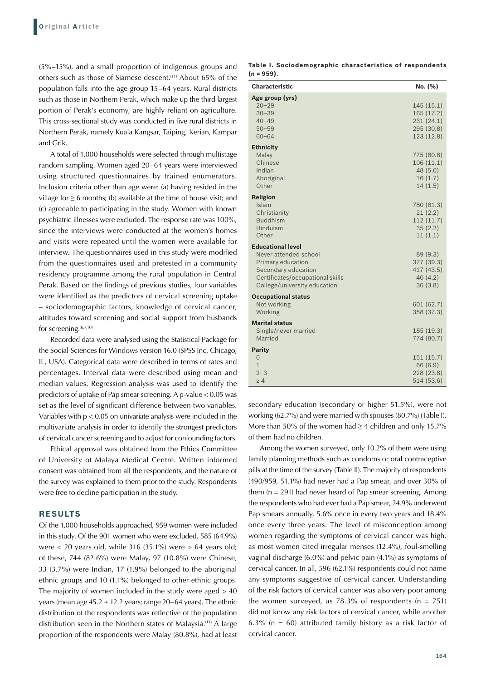(5%–15%), and a small proportion of indigenous groups and others such as those of Siamese descent.(11) About 65% of the population falls into the age group 15–64 years. Rural districts such as those in Northern Perak, which make up the third largest portion of Perak's economy, are highly reliant on agriculture. This cross-sectional study was conducted in five rural districts in Northern Perak, namely Kuala Kangsar, Taiping, Kerian, Kampar and Grik.

A total of 1,000 households were selected through multistage random sampling. Women aged 20–64 years were interviewed using structured questionnaires by trained enumerators. Inclusion criteria other than age were: (a) having resided in the village for ≥ 6 months; (b) available at the time of house visit; and (c) agreeable to participating in the study. Women with known psychiatric illnesses were excluded. The response rate was 100%, since the interviews were conducted at the women's homes and visits were repeated until the women were available for interview. The questionnaires used in this study were modified from the questionnaires used and pretested in a community residency programme among the rural population in Central Perak. Based on the findings of previous studies, four variables were identified as the predictors of cervical screening uptake – sociodemographic factors, knowledge of cervical cancer, attitudes toward screening and social support from husbands for screening.(6,7,10)

Recorded data were analysed using the Statistical Package for the Social Sciences for Windows version 16.0 (SPSS Inc, Chicago, IL, USA). Categorical data were described in terms of rates and percentages. Interval data were described using mean and median values. Regression analysis was used to identify the predictors of uptake of Pap smear screening. A p-value < 0.05 was set as the level of significant difference between two variables. Variables with  $p < 0.05$  on univariate analysis were included in the multivariate analysis in order to identify the strongest predictors of cervical cancer screening and to adjust for confounding factors.

Ethical approval was obtained from the Ethics Committee of University of Malaya Medical Centre. Written informed consent was obtained from all the respondents, and the nature of the survey was explained to them prior to the study. Respondents were free to decline participation in the study.

#### **RESULTS**

Of the 1,000 households approached, 959 women were included in this study. Of the 901 women who were excluded, 585 (64.9%) were  $<$  20 years old, while 316 (35.1%) were  $>$  64 years old; of these, 744 (82.6%) were Malay, 97 (10.8%) were Chinese, 33 (3.7%) were Indian, 17 (1.9%) belonged to the aboriginal ethnic groups and 10 (1.1%) belonged to other ethnic groups. The majority of women included in the study were aged  $> 40$ years (mean age  $45.2 \pm 12.2$  years; range  $20-64$  years). The ethnic distribution of the respondents was reflective of the population distribution seen in the Northern states of Malaysia.<sup>(11)</sup> A large proportion of the respondents were Malay (80.8%), had at least

| Table I. Sociodemographic characteristics of respondents |  |  |
|----------------------------------------------------------|--|--|
| $(n = 959)$ .                                            |  |  |

| <b>Characteristic</b>                                                                                                                                             | No. (%)                                                          |
|-------------------------------------------------------------------------------------------------------------------------------------------------------------------|------------------------------------------------------------------|
| Age group (yrs)<br>$20 - 29$<br>$30 - 39$<br>$40 - 49$<br>$50 - 59$<br>$60 - 64$                                                                                  | 145(15.1)<br>165 (17.2)<br>231(24.1)<br>295 (30.8)<br>123 (12.8) |
| <b>Ethnicity</b><br>Malay<br>Chinese<br>Indian<br>Aboriginal<br>Other                                                                                             | 775 (80.8)<br>106(11.1)<br>48 (5.0)<br>16(1.7)<br>14(1.5)        |
| <b>Religion</b><br>Islam<br>Christianity<br><b>Buddhism</b><br>Hinduism<br>Other                                                                                  | 780 (81.3)<br>21(2.2)<br>112 (11.7)<br>35(2.2)<br>11(1.1)        |
| <b>Educational level</b><br>Never attended school<br>Primary education<br>Secondary education<br>Certificates/occupational skills<br>College/university education | 89 (9.3)<br>377 (39.3)<br>417 (43.5)<br>40(4.2)<br>36(3.8)       |
| <b>Occupational status</b><br>Not working<br>Working                                                                                                              | 601 (62.7)<br>358 (37.3)                                         |
| <b>Marital status</b><br>Single/never married<br>Married                                                                                                          | 185 (19.3)<br>774 (80.7)                                         |
| <b>Parity</b><br>$\mathbf{O}$<br>$\mathbf{1}$<br>$2 - 3$<br>$\geq 4$                                                                                              | 151 (15.7)<br>66 (6.9)<br>228 (23.8)<br>514 (53.6)               |

secondary education (secondary or higher 51.5%), were not working (62.7%) and were married with spouses (80.7%) (Table I). More than 50% of the women had  $\geq$  4 children and only 15.7% of them had no children.

Among the women surveyed, only 10.2% of them were using family planning methods such as condoms or oral contraceptive pills at the time of the survey (Table II). The majority of respondents (490/959, 51.1%) had never had a Pap smear, and over 30% of them  $(n = 291)$  had never heard of Pap smear screening. Among the respondents who had ever had a Pap smear, 24.9% underwent Pap smears annually, 5.6% once in every two years and 18.4% once every three years. The level of misconception among women regarding the symptoms of cervical cancer was high, as most women cited irregular menses (12.4%), foul-smelling vaginal discharge (6.0%) and pelvic pain (4.1%) as symptoms of cervical cancer. In all, 596 (62.1%) respondents could not name any symptoms suggestive of cervical cancer. Understanding of the risk factors of cervical cancer was also very poor among the women surveyed, as  $78.3\%$  of respondents (n =  $751$ ) did not know any risk factors of cervical cancer, while another 6.3% ( $n = 60$ ) attributed family history as a risk factor of cervical cancer.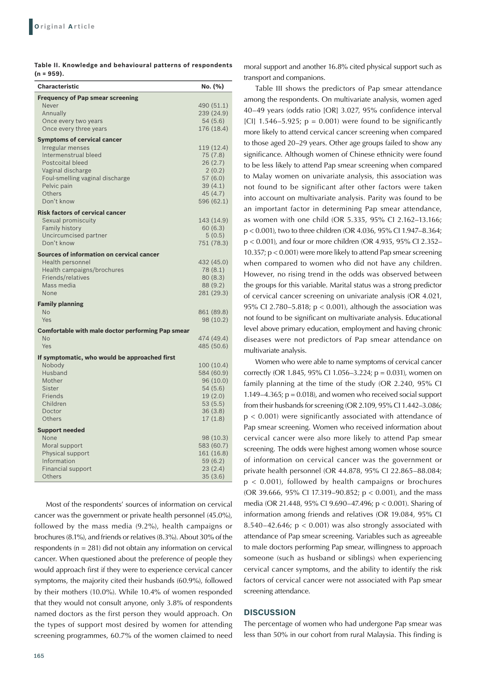| Table II. Knowledge and behavioural patterns of respondents |  |  |
|-------------------------------------------------------------|--|--|
| $(n = 959)$ .                                               |  |  |

| <b>Characteristic</b>                                                 | No. (%)                |
|-----------------------------------------------------------------------|------------------------|
| <b>Frequency of Pap smear screening</b><br>Never                      | 490 (51.1)             |
| Annually                                                              | 239 (24.9)             |
| Once every two years                                                  | 54 (5.6)               |
| Once every three years                                                | 176 (18.4)             |
| <b>Symptoms of cervical cancer</b>                                    |                        |
| Irregular menses<br>Intermenstrual bleed                              | 119 (12.4)<br>75 (7.8) |
| <b>Postcoital bleed</b>                                               | 26(2.7)                |
| Vaginal discharge                                                     | 2(0.2)                 |
| Foul-smelling vaginal discharge                                       | 57(6.0)                |
| Pelvic pain<br>Others                                                 | 39(4.1)                |
| Don't know                                                            | 45 (4.7)<br>596 (62.1) |
| <b>Risk factors of cervical cancer</b>                                |                        |
| Sexual promiscuity                                                    | 143 (14.9)             |
| <b>Family history</b>                                                 | 60(6.3)                |
| Uncircumcised partner                                                 | 5(0.5)                 |
| Don't know                                                            | 751 (78.3)             |
| Sources of information on cervical cancer                             |                        |
| Health personnel<br>Health campaigns/brochures                        | 432 (45.0)<br>78 (8.1) |
| Friends/relatives                                                     | 80(8.3)                |
| Mass media                                                            | 88 (9.2)               |
| None                                                                  | 281 (29.3)             |
| <b>Family planning</b>                                                |                        |
| <b>No</b>                                                             | 861 (89.8)             |
| Yes                                                                   | 98 (10.2)              |
| <b>Comfortable with male doctor performing Pap smear</b><br><b>No</b> | 474 (49.4)             |
| Yes                                                                   | 485 (50.6)             |
| If symptomatic, who would be approached first                         |                        |
| Nobody                                                                | 100 (10.4)             |
| Husband                                                               | 584 (60.9)             |
| Mother                                                                | 96 (10.0)              |
| Sister<br>Friends                                                     | 54 (5.6)               |
| Children                                                              | 19(2.0)<br>53(5.5)     |
| Doctor                                                                | 36(3.8)                |
| Others                                                                | 17(1.8)                |
| <b>Support needed</b>                                                 |                        |
| None                                                                  | 98 (10.3)              |
| Moral support                                                         | 583 (60.7)             |
| Physical support<br>Information                                       | 161 (16.8)<br>59 (6.2) |
| <b>Financial support</b>                                              | 23(2.4)                |
| <b>Others</b>                                                         | 35(3.6)                |

Most of the respondents' sources of information on cervical cancer was the government or private health personnel (45.0%), followed by the mass media (9.2%), health campaigns or brochures (8.1%), and friends or relatives (8.3%). About 30% of the respondents ( $n = 281$ ) did not obtain any information on cervical cancer. When questioned about the preference of people they would approach first if they were to experience cervical cancer symptoms, the majority cited their husbands (60.9%), followed by their mothers (10.0%). While 10.4% of women responded that they would not consult anyone, only 3.8% of respondents named doctors as the first person they would approach. On the types of support most desired by women for attending screening programmes, 60.7% of the women claimed to need moral support and another 16.8% cited physical support such as transport and companions.

Table III shows the predictors of Pap smear attendance among the respondents. On multivariate analysis, women aged 40–49 years (odds ratio [OR] 3.027, 95% confidence interval [CI]  $1.546-5.925$ ; p = 0.001) were found to be significantly more likely to attend cervical cancer screening when compared to those aged 20–29 years. Other age groups failed to show any significance. Although women of Chinese ethnicity were found to be less likely to attend Pap smear screening when compared to Malay women on univariate analysis, this association was not found to be significant after other factors were taken into account on multivariate analysis. Parity was found to be an important factor in determining Pap smear attendance, as women with one child (OR 5.335, 95% CI 2.162–13.166; p < 0.001), two to three children (OR 4.036, 95% CI 1.947–8.364; p < 0.001), and four or more children (OR 4.935, 95% CI 2.352– 10.357; p < 0.001) were more likely to attend Pap smear screening when compared to women who did not have any children. However, no rising trend in the odds was observed between the groups for this variable. Marital status was a strong predictor of cervical cancer screening on univariate analysis (OR 4.021, 95% CI 2.780–5.818; p < 0.001), although the association was not found to be significant on multivariate analysis. Educational level above primary education, employment and having chronic diseases were not predictors of Pap smear attendance on multivariate analysis.

Women who were able to name symptoms of cervical cancer correctly (OR 1.845, 95% CI 1.056-3.224;  $p = 0.031$ ), women on family planning at the time of the study (OR 2.240, 95% CI 1.149–4.365;  $p = 0.018$ ), and women who received social support from their husbands for screening (OR 2.109, 95% CI 1.442–3.086; p < 0.001) were significantly associated with attendance of Pap smear screening. Women who received information about cervical cancer were also more likely to attend Pap smear screening. The odds were highest among women whose source of information on cervical cancer was the government or private health personnel (OR 44.878, 95% CI 22.865–88.084; p < 0.001), followed by health campaigns or brochures (OR 39.666, 95% CI 17.319–90.852; p < 0.001), and the mass media (OR 21.448, 95% CI 9.690–47.496; p < 0.001). Sharing of information among friends and relatives (OR 19.084, 95% CI 8.540–42.646;  $p < 0.001$ ) was also strongly associated with attendance of Pap smear screening. Variables such as agreeable to male doctors performing Pap smear, willingness to approach someone (such as husband or siblings) when experiencing cervical cancer symptoms, and the ability to identify the risk factors of cervical cancer were not associated with Pap smear screening attendance.

#### **DISCUSSION**

The percentage of women who had undergone Pap smear was less than 50% in our cohort from rural Malaysia. This finding is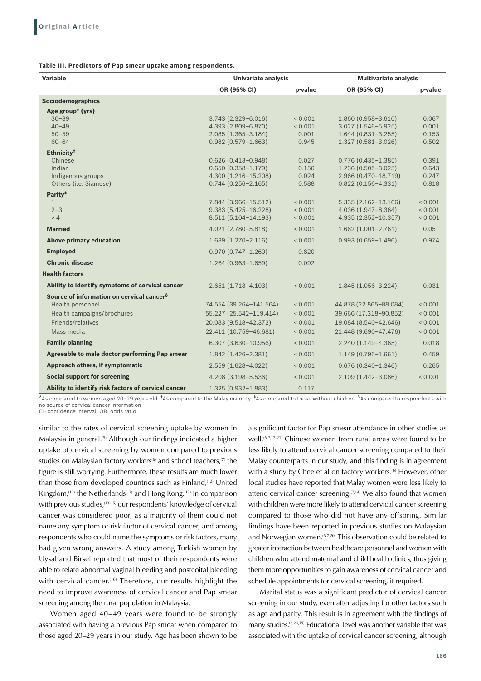**Table III. Predictors of Pap smear uptake among respondents.**

| <b>Variable</b>                                                                                                                            | <b>Univariate analysis</b>                                                                            |                                                       | <b>Multivariate analysis</b>                                                                       |                                             |
|--------------------------------------------------------------------------------------------------------------------------------------------|-------------------------------------------------------------------------------------------------------|-------------------------------------------------------|----------------------------------------------------------------------------------------------------|---------------------------------------------|
|                                                                                                                                            | OR (95% CI)                                                                                           | p-value                                               | OR (95% CI)                                                                                        | p-value                                     |
| <b>Sociodemographics</b>                                                                                                                   |                                                                                                       |                                                       |                                                                                                    |                                             |
| Age group* (yrs)<br>$30 - 39$<br>$40 - 49$                                                                                                 | $3.743(2.329 - 6.016)$<br>4.393 (2.809-6.870)                                                         | ${}_{0.001}$<br>< 0.001                               | 1.860 (0.958-3.610)<br>$3.027(1.546 - 5.925)$                                                      | 0.067<br>0.001                              |
| $50 - 59$<br>$60 - 64$                                                                                                                     | $2.085(1.365 - 3.184)$<br>$0.982(0.579 - 1.663)$                                                      | 0.001<br>0.945                                        | $1.644(0.831 - 3.255)$<br>$1.327(0.581 - 3.026)$                                                   | 0.153<br>0.502                              |
| Ethnicity <sup>†</sup><br>Chinese<br>Indian<br>Indigenous groups<br>Others (i.e. Siamese)                                                  | $0.626(0.413 - 0.948)$<br>$0.650(0.358 - 1.179)$<br>4.300 (1.216-15.208)<br>$0.744(0.256 - 2.165)$    | 0.027<br>0.156<br>0.024<br>0.588                      | $0.776(0.435 - 1.385)$<br>$1.236(0.505 - 3.025)$<br>2.966 (0.470-18.719)<br>$0.822(0.156 - 4.331)$ | 0.391<br>0.643<br>0.247<br>0.818            |
| Parity <sup>#</sup><br>$\mathbf{1}$<br>$2 - 3$<br>> 4                                                                                      | 7.844 (3.966-15.512)<br>$9.383(5.425 - 16.228)$<br>8.511 (5.104-14.193)                               | ${}_{0.001}$<br>0.001<br>< 0.001                      | $5.335(2.162 - 13.166)$<br>4.036 (1.947-8.364)<br>4.935 (2.352-10.357)                             | ${}_{0.001}$<br>< 0.001<br>< 0.001          |
| <b>Married</b>                                                                                                                             | 4.021 (2.780-5.818)                                                                                   | 0.001                                                 | $1.662(1.001 - 2.761)$                                                                             | 0.05                                        |
| <b>Above primary education</b>                                                                                                             | $1.639(1.270 - 2.116)$                                                                                | ${}_{0.001}$                                          | $0.993(0.659 - 1.496)$                                                                             | 0.974                                       |
| <b>Employed</b>                                                                                                                            | $0.970(0.747 - 1.260)$                                                                                | 0.820                                                 |                                                                                                    |                                             |
| <b>Chronic disease</b>                                                                                                                     | $1.264(0.963 - 1.659)$                                                                                | 0.092                                                 |                                                                                                    |                                             |
| <b>Health factors</b>                                                                                                                      |                                                                                                       |                                                       |                                                                                                    |                                             |
| Ability to identify symptoms of cervical cancer                                                                                            | $2.651(1.713 - 4.103)$                                                                                | < 0.001                                               | 1.845 (1.056-3.224)                                                                                | 0.031                                       |
| Source of information on cervical cancer <sup>§</sup><br>Health personnel<br>Health campaigns/brochures<br>Friends/relatives<br>Mass media | 74.554 (39.264-141.564)<br>55.227 (25.542-119.414)<br>20.083 (9.518-42.372)<br>22.411 (10.759-46.681) | ${}_{0.001}$<br>${}_{0.001}$<br>${}_{0.001}$<br>0.001 | 44.878 (22.865-88.084)<br>39.666 (17.318-90.852)<br>19.084 (8.540-42.646)<br>21.448 (9.690-47.476) | ${}_{0.001}$<br>< 0.001<br>0.001<br>< 0.001 |
| <b>Family planning</b>                                                                                                                     | $6.307(3.630-10.956)$                                                                                 | ${}_{0.001}$                                          | $2.240(1.149-4.365)$                                                                               | 0.018                                       |
| Agreeable to male doctor performing Pap smear                                                                                              | 1.842 (1.426-2.381)                                                                                   | < 0.001                                               | $1.149(0.795 - 1.661)$                                                                             | 0.459                                       |
| Approach others, if symptomatic                                                                                                            | 2.559 (1.628-4.022)                                                                                   | ${}_{0.001}$                                          | $0.676(0.340 - 1.346)$                                                                             | 0.265                                       |
| <b>Social support for screening</b>                                                                                                        | 4.208 (3.198-5.536)                                                                                   | ${}_{0.001}$                                          | 2.109 (1.442-3.086)                                                                                | < 0.001                                     |
| Ability to identify risk factors of cervical cancer                                                                                        | 1.325 (0.932-1.883)                                                                                   | 0.117                                                 |                                                                                                    |                                             |

\*As compared to women aged 20–29 years old. †As compared to the Malay majority. ‡As compared to those without children. §As compared to respondents with no source of cervical cancer information

CI: confidence interval; OR: odds ratio

similar to the rates of cervical screening uptake by women in Malaysia in general.<sup>(5)</sup> Although our findings indicated a higher uptake of cervical screening by women compared to previous studies on Malaysian factory workers<sup>(6)</sup> and school teachers,<sup>(7)</sup> the figure is still worrying. Furthermore, these results are much lower than those from developed countries such as Finland,<sup>(12)</sup> United Kingdom,  $(12)$  the Netherlands  $(12)$  and Hong Kong.  $(13)$  In comparison with previous studies,<sup>(13-15)</sup> our respondents' knowledge of cervical cancer was considered poor, as a majority of them could not name any symptom or risk factor of cervical cancer, and among respondents who could name the symptoms or risk factors, many had given wrong answers. A study among Turkish women by Uysal and Birsel reported that most of their respondents were able to relate abnormal vaginal bleeding and postcoital bleeding with cervical cancer.<sup>(16)</sup> Therefore, our results highlight the need to improve awareness of cervical cancer and Pap smear screening among the rural population in Malaysia.

Women aged 40–49 years were found to be strongly associated with having a previous Pap smear when compared to those aged 20–29 years in our study. Age has been shown to be a significant factor for Pap smear attendance in other studies as well.<sup>(6,7,17-21)</sup> Chinese women from rural areas were found to be less likely to attend cervical cancer screening compared to their Malay counterparts in our study, and this finding is in agreement with a study by Chee et al on factory workers.<sup>(6)</sup> However, other local studies have reported that Malay women were less likely to attend cervical cancer screening.<sup> $(7,14)$ </sup> We also found that women with children were more likely to attend cervical cancer screening compared to those who did not have any offspring. Similar findings have been reported in previous studies on Malaysian and Norwegian women.<sup>(6,7,20)</sup> This observation could be related to greater interaction between healthcare personnel and women with children who attend maternal and child health clinics, thus giving them more opportunities to gain awareness of cervical cancer and schedule appointments for cervical screening, if required.

Marital status was a significant predictor of cervical cancer screening in our study, even after adjusting for other factors such as age and parity. This result is in agreement with the findings of many studies.<sup>(6,20,15)</sup> Educational level was another variable that was associated with the uptake of cervical cancer screening, although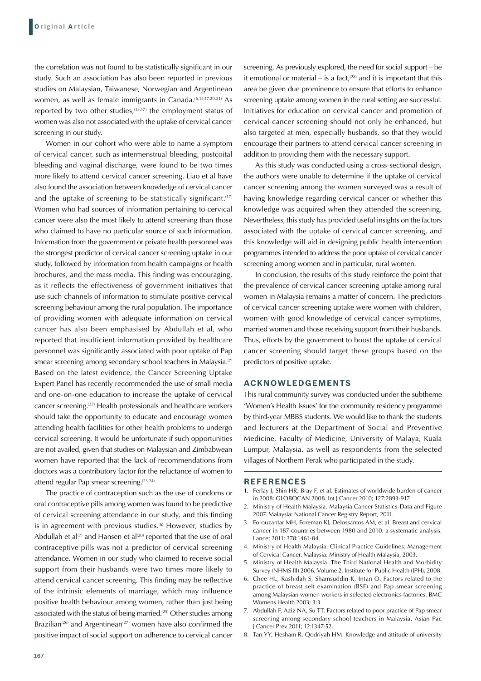the correlation was not found to be statistically significant in our study. Such an association has also been reported in previous studies on Malaysian, Taiwanese, Norwegian and Argentinean women, as well as female immigrants in Canada.<sup>(6,15,17,20,21)</sup> As reported by two other studies,<sup>(15,17)</sup> the employment status of women was also not associated with the uptake of cervical cancer screening in our study.

Women in our cohort who were able to name a symptom of cervical cancer, such as intermenstrual bleeding, postcoital bleeding and vaginal discharge, were found to be two times more likely to attend cervical cancer screening. Liao et al have also found the association between knowledge of cervical cancer and the uptake of screening to be statistically significant.<sup>(17)</sup> Women who had sources of information pertaining to cervical cancer were also the most likely to attend screening than those who claimed to have no particular source of such information. Information from the government or private health personnel was the strongest predictor of cervical cancer screening uptake in our study, followed by information from health campaigns or health brochures, and the mass media. This finding was encouraging, as it reflects the effectiveness of government initiatives that use such channels of information to stimulate positive cervical screening behaviour among the rural population. The importance of providing women with adequate information on cervical cancer has also been emphasised by Abdullah et al, who reported that insufficient information provided by healthcare personnel was significantly associated with poor uptake of Pap smear screening among secondary school teachers in Malaysia.<sup>(7)</sup> Based on the latest evidence, the Cancer Screening Uptake Expert Panel has recently recommended the use of small media and one-on-one education to increase the uptake of cervical cancer screening.(22) Health professionals and healthcare workers should take the opportunity to educate and encourage women attending health facilities for other health problems to undergo cervical screening. It would be unfortunate if such opportunities are not availed, given that studies on Malaysian and Zimbabwean women have reported that the lack of recommendations from doctors was a contributory factor for the reluctance of women to attend regular Pap smear screening.<sup>(23,24)</sup>

The practice of contraception such as the use of condoms or oral contraceptive pills among women was found to be predictive of cervical screening attendance in our study, and this finding is in agreement with previous studies.<sup>(6)</sup> However, studies by Abdullah et al<sup>(7)</sup> and Hansen et al<sup>(20)</sup> reported that the use of oral contraceptive pills was not a predictor of cervical screening attendance. Women in our study who claimed to receive social support from their husbands were two times more likely to attend cervical cancer screening. This finding may be reflective of the intrinsic elements of marriage, which may influence positive health behaviour among women, rather than just being associated with the status of being married.<sup>(25)</sup> Other studies among Brazilian<sup>(26)</sup> and Argentinean<sup>(27)</sup> women have also confirmed the positive impact of social support on adherence to cervical cancer

screening. As previously explored, the need for social support – be it emotional or material – is a fact, $(28)$  and it is important that this area be given due prominence to ensure that efforts to enhance screening uptake among women in the rural setting are successful. Initiatives for education on cervical cancer and promotion of cervical cancer screening should not only be enhanced, but also targeted at men, especially husbands, so that they would encourage their partners to attend cervical cancer screening in addition to providing them with the necessary support.

As this study was conducted using a cross-sectional design, the authors were unable to determine if the uptake of cervical cancer screening among the women surveyed was a result of having knowledge regarding cervical cancer or whether this knowledge was acquired when they attended the screening. Nevertheless, this study has provided useful insights on the factors associated with the uptake of cervical cancer screening, and this knowledge will aid in designing public health intervention programmes intended to address the poor uptake of cervical cancer screening among women and in particular, rural women.

In conclusion, the results of this study reinforce the point that the prevalence of cervical cancer screening uptake among rural women in Malaysia remains a matter of concern. The predictors of cervical cancer screening uptake were women with children, women with good knowledge of cervical cancer symptoms, married women and those receiving support from their husbands. Thus, efforts by the government to boost the uptake of cervical cancer screening should target these groups based on the predictors of positive uptake.

#### **ACKNOWLEDGEMENTS**

This rural community survey was conducted under the subtheme 'Women's Health Issues' for the community residency programme by third-year MBBS students. We would like to thank the students and lecturers at the Department of Social and Preventive Medicine, Faculty of Medicine, University of Malaya, Kuala Lumpur, Malaysia, as well as respondents from the selected villages of Northern Perak who participated in the study.

#### **REFERENCES**

- 1. Ferlay J, Shin HR, Bray F, et al. Estimates of worldwide burden of cancer in 2008: GLOBOCAN 2008. Int J Cancer 2010; 127:2893-917.
- 2. Ministry of Health Malaysia. Malaysia Cancer Statistics-Data and Figure 2007. Malaysia: National Cancer Registry Report, 2011.
- 3. Forouzanfar MH, Foreman KJ, Delossantos AM, et al. Breast and cervical cancer in 187 countries between 1980 and 2010: a systematic analysis. Lancet 2011; 378:1461-84.
- 4. Ministry of Health Malaysia. Clinical Practice Guidelines: Management of Cervical Cancer. Malaysia: Ministry of Health Malaysia, 2003.
- 5. Ministry of Health Malaysia. The Third National Health and Morbidity Survey (NHMS III) 2006, Volume 2. Institute for Public Health (IPH), 2008.
- 6. Chee HL, Rashidah S, Shamsuddin K, Intan O. Factors related to the practice of breast self examination (BSE) and Pap smear screening among Malaysian women workers in selected electronics factories. BMC Womens Health 2003; 3:3.
- 7. Abdullah F, Aziz NA, Su TT. Factors related to poor practice of Pap smear screening among secondary school teachers in Malaysia. Asian Pac J Cancer Prev 2011; 12:1347-52.
- 8. Tan YY, Hesham R, Qodriyah HM. Knowledge and attitude of university